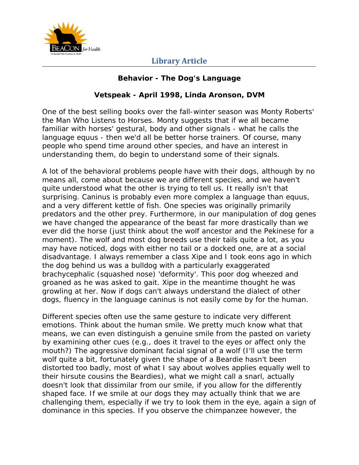

#### **Behavior - The Dog's Language**

#### **Vetspeak - April 1998, Linda Aronson, DVM**

One of the best selling books over the fall-winter season was Monty Roberts' the Man Who Listens to Horses. Monty suggests that if we all became familiar with horses' gestural, body and other signals - what he calls the language equus - then we'd all be better horse trainers. Of course, many people who spend time around other species, and have an interest in understanding them, do begin to understand some of their signals.

A lot of the behavioral problems people have with their dogs, although by no means all, come about because we are different species, and we haven't quite understood what the other is trying to tell us. It really isn't that surprising. Caninus is probably even more complex a language than equus, and a very different kettle of fish. One species was originally primarily predators and the other prey. Furthermore, in our manipulation of dog genes we have changed the appearance of the beast far more drastically than we ever did the horse (just think about the wolf ancestor and the Pekinese for a moment). The wolf and most dog breeds use their tails quite a lot, as you may have noticed, dogs with either no tail or a docked one, are at a social disadvantage. I always remember a class Xipe and I took eons ago in which the dog behind us was a bulldog with a particularly exaggerated brachycephalic (squashed nose) 'deformity'. This poor dog wheezed and groaned as he was asked to gait. Xipe in the meantime thought he was growling at her. Now if dogs can't always understand the dialect of other dogs, fluency in the language caninus is not easily come by for the human.

Different species often use the same gesture to indicate very different emotions. Think about the human smile. We pretty much know what that means, we can even distinguish a genuine smile from the pasted on variety by examining other cues (e.g., does it travel to the eyes or affect only the mouth?) The aggressive dominant facial signal of a wolf (I'll use the term wolf quite a bit, fortunately given the shape of a Beardie hasn't been distorted too badly, most of what I say about wolves applies equally well to their hirsute cousins the Beardies), what we might call a snarl, actually doesn't look that dissimilar from our smile, if you allow for the differently shaped face. If we smile at our dogs they may actually think that we are challenging them, especially if we try to look them in the eye, again a sign of dominance in this species. If you observe the chimpanzee however, the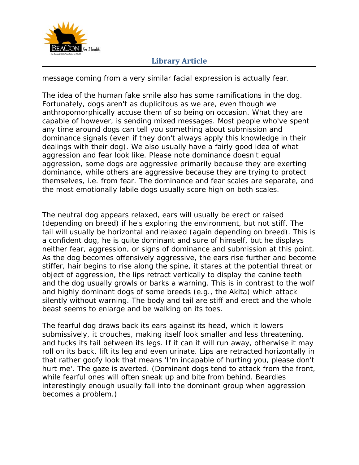

message coming from a very similar facial expression is actually fear.

The idea of the human fake smile also has some ramifications in the dog. Fortunately, dogs aren't as duplicitous as we are, even though we anthropomorphically accuse them of so being on occasion. What they are capable of however, is sending mixed messages. Most people who've spent any time around dogs can tell you something about submission and dominance signals (even if they don't always apply this knowledge in their dealings with their dog). We also usually have a fairly good idea of what aggression and fear look like. Please note dominance doesn't equal aggression, some dogs are aggressive primarily because they are exerting dominance, while others are aggressive because they are trying to protect themselves, i.e. from fear. The dominance and fear scales are separate, and the most emotionally labile dogs usually score high on both scales.

The neutral dog appears relaxed, ears will usually be erect or raised (depending on breed) if he's exploring the environment, but not stiff. The tail will usually be horizontal and relaxed (again depending on breed). This is a confident dog, he is quite dominant and sure of himself, but he displays neither fear, aggression, or signs of dominance and submission at this point. As the dog becomes offensively aggressive, the ears rise further and become stiffer, hair begins to rise along the spine, it stares at the potential threat or object of aggression, the lips retract vertically to display the canine teeth and the dog usually growls or barks a warning. This is in contrast to the wolf and highly dominant dogs of some breeds (e.g., the Akita) which attack silently without warning. The body and tail are stiff and erect and the whole beast seems to enlarge and be walking on its toes.

The fearful dog draws back its ears against its head, which it lowers submissively, it crouches, making itself look smaller and less threatening, and tucks its tail between its legs. If it can it will run away, otherwise it may roll on its back, lift its leg and even urinate. Lips are retracted horizontally in that rather goofy look that means 'I'm incapable of hurting you, please don't hurt me'. The gaze is averted. (Dominant dogs tend to attack from the front, while fearful ones will often sneak up and bite from behind. Beardies interestingly enough usually fall into the dominant group when aggression becomes a problem.)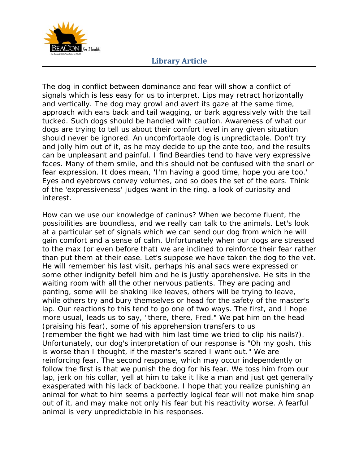

The dog in conflict between dominance and fear will show a conflict of signals which is less easy for us to interpret. Lips may retract horizontally and vertically. The dog may growl and avert its gaze at the same time, approach with ears back and tail wagging, or bark aggressively with the tail tucked. Such dogs should be handled with caution. Awareness of what our dogs are trying to tell us about their comfort level in any given situation should never be ignored. An uncomfortable dog is unpredictable. Don't try and jolly him out of it, as he may decide to up the ante too, and the results can be unpleasant and painful. I find Beardies tend to have very expressive faces. Many of them smile, and this should not be confused with the snarl or fear expression. It does mean, 'I'm having a good time, hope you are too.' Eyes and eyebrows convey volumes, and so does the set of the ears. Think of the 'expressiveness' judges want in the ring, a look of curiosity and interest.

How can we use our knowledge of caninus? When we become fluent, the possibilities are boundless, and we really can talk to the animals. Let's look at a particular set of signals which we can send our dog from which he will gain comfort and a sense of calm. Unfortunately when our dogs are stressed to the max (or even before that) we are inclined to reinforce their fear rather than put them at their ease. Let's suppose we have taken the dog to the vet. He will remember his last visit, perhaps his anal sacs were expressed or some other indignity befell him and he is justly apprehensive. He sits in the waiting room with all the other nervous patients. They are pacing and panting, some will be shaking like leaves, others will be trying to leave, while others try and bury themselves or head for the safety of the master's lap. Our reactions to this tend to go one of two ways. The first, and I hope more usual, leads us to say, "there, there, Fred." We pat him on the head (praising his fear), some of his apprehension transfers to us (remember the fight we had with him last time we tried to clip his nails?). Unfortunately, our dog's interpretation of our response is "Oh my gosh, this is worse than I thought, if the master's scared I want out." We are reinforcing fear. The second response, which may occur independently or follow the first is that we punish the dog for his fear. We toss him from our lap, jerk on his collar, yell at him to take it like a man and just get generally exasperated with his lack of backbone. I hope that you realize punishing an animal for what to him seems a perfectly logical fear will not make him snap out of it, and may make not only his fear but his reactivity worse. A fearful animal is very unpredictable in his responses.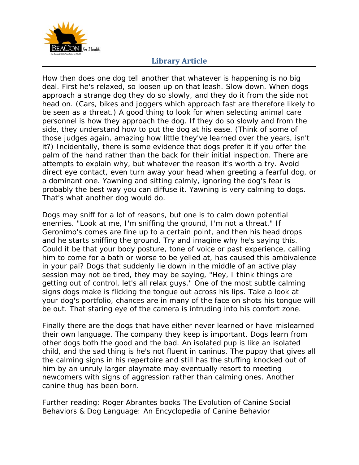

How then does one dog tell another that whatever is happening is no big deal. First he's relaxed, so loosen up on that leash. Slow down. When dogs approach a strange dog they do so slowly, and they do it from the side not head on. (Cars, bikes and joggers which approach fast are therefore likely to be seen as a threat.) A good thing to look for when selecting animal care personnel is how they approach the dog. If they do so slowly and from the side, they understand how to put the dog at his ease. (Think of some of those judges again, amazing how little they've learned over the years, isn't it?) Incidentally, there is some evidence that dogs prefer it if you offer the palm of the hand rather than the back for their initial inspection. There are attempts to explain why, but whatever the reason it's worth a try. Avoid direct eye contact, even turn away your head when greeting a fearful dog, or a dominant one. Yawning and sitting calmly, ignoring the dog's fear is probably the best way you can diffuse it. Yawning is very calming to dogs. That's what another dog would do.

Dogs may sniff for a lot of reasons, but one is to calm down potential enemies. "Look at me, I'm sniffing the ground, I'm not a threat." If Geronimo's comes are fine up to a certain point, and then his head drops and he starts sniffing the ground. Try and imagine why he's saying this. Could it be that your body posture, tone of voice or past experience, calling him to come for a bath or worse to be yelled at, has caused this ambivalence in your pal? Dogs that suddenly lie down in the middle of an active play session may not be tired, they may be saying, "Hey, I think things are getting out of control, let's all relax guys." One of the most subtle calming signs dogs make is flicking the tongue out across his lips. Take a look at your dog's portfolio, chances are in many of the face on shots his tongue will be out. That staring eye of the camera is intruding into his comfort zone.

Finally there are the dogs that have either never learned or have mislearned their own language. The company they keep is important. Dogs learn from other dogs both the good and the bad. An isolated pup is like an isolated child, and the sad thing is he's not fluent in caninus. The puppy that gives all the calming signs in his repertoire and still has the stuffing knocked out of him by an unruly larger playmate may eventually resort to meeting newcomers with signs of aggression rather than calming ones. Another canine thug has been born.

Further reading: Roger Abrantes books The Evolution of Canine Social Behaviors & Dog Language: An Encyclopedia of Canine Behavior